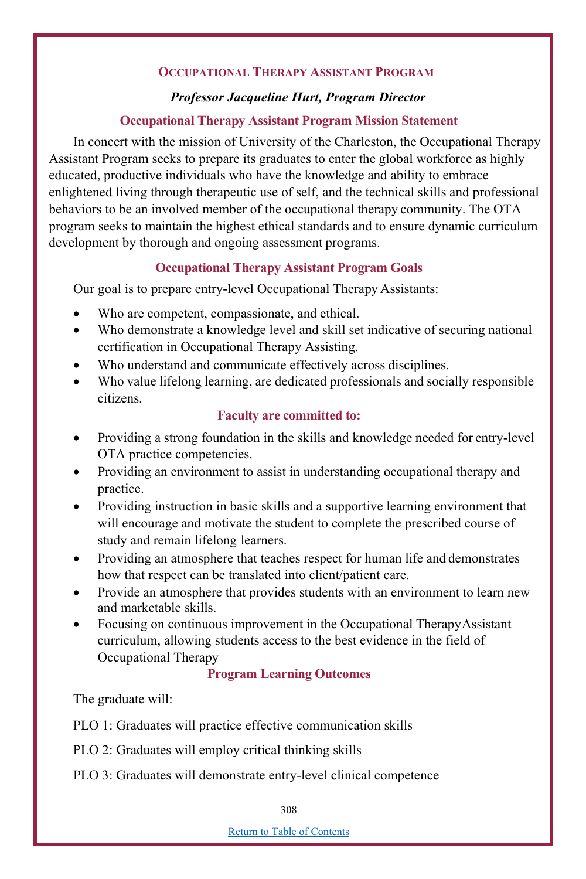## **OCCUPATIONAL THERAPY ASSISTANT PROGRAM**

### *Professor Jacqueline Hurt, Program Director*

### **Occupational Therapy Assistant Program Mission Statement**

In concert with the mission of University of the Charleston, the Occupational Therapy Assistant Program seeks to prepare its graduates to enter the global workforce as highly educated, productive individuals who have the knowledge and ability to embrace enlightened living through therapeutic use of self, and the technical skills and professional behaviors to be an involved member of the occupational therapy community. The OTA program seeks to maintain the highest ethical standards and to ensure dynamic curriculum development by thorough and ongoing assessment programs.

# **Occupational Therapy Assistant Program Goals**

Our goal is to prepare entry-level Occupational Therapy Assistants:

- Who are competent, compassionate, and ethical.
- Who demonstrate a knowledge level and skill set indicative of securing national certification in Occupational Therapy Assisting.
- Who understand and communicate effectively across disciplines.
- Who value lifelong learning, are dedicated professionals and socially responsible citizens.

#### **Faculty are committed to:**

- Providing a strong foundation in the skills and knowledge needed for entry-level OTA practice competencies.
- Providing an environment to assist in understanding occupational therapy and practice.
- Providing instruction in basic skills and a supportive learning environment that will encourage and motivate the student to complete the prescribed course of study and remain lifelong learners.
- Providing an atmosphere that teaches respect for human life and demonstrates how that respect can be translated into client/patient care.
- Provide an atmosphere that provides students with an environment to learn new and marketable skills.
- Focusing on continuous improvement in the Occupational TherapyAssistant curriculum, allowing students access to the best evidence in the field of Occupational Therapy

## **Program Learning Outcomes**

The graduate will:

PLO 1: Graduates will practice effective communication skills

PLO 2: Graduates will employ critical thinking skills

PLO 3: Graduates will demonstrate entry-level clinical competence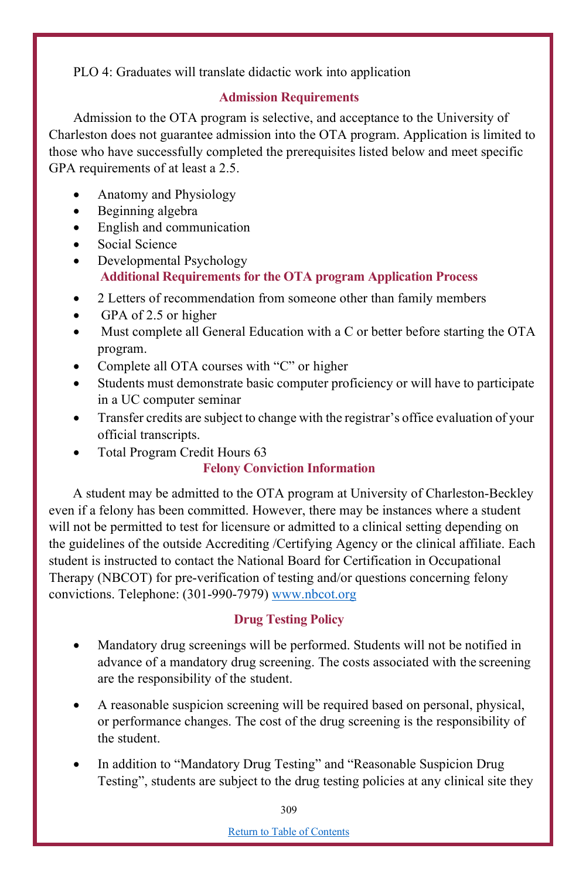PLO 4: Graduates will translate didactic work into application

## **Admission Requirements**

Admission to the OTA program is selective, and acceptance to the University of Charleston does not guarantee admission into the OTA program. Application is limited to those who have successfully completed the prerequisites listed below and meet specific GPA requirements of at least a 2.5.

- Anatomy and Physiology
- Beginning algebra
- English and communication
- Social Science
- Developmental Psychology **Additional Requirements for the OTA program Application Process**
- 2 Letters of recommendation from someone other than family members
- GPA of 2.5 or higher
- Must complete all General Education with a C or better before starting the OTA program.
- Complete all OTA courses with "C" or higher
- Students must demonstrate basic computer proficiency or will have to participate in a UC computer seminar
- Transfer credits are subject to change with the registrar's office evaluation of your official transcripts.
- Total Program Credit Hours 63

# **Felony Conviction Information**

A student may be admitted to the OTA program at University of Charleston-Beckley even if a felony has been committed. However, there may be instances where a student will not be permitted to test for licensure or admitted to a clinical setting depending on the guidelines of the outside Accrediting /Certifying Agency or the clinical affiliate. Each student is instructed to contact the National Board for Certification in Occupational Therapy (NBCOT) for pre-verification of testing and/or questions concerning felony convictions. Telephone: (301-990-7979) www.nbcot.org

# **Drug Testing Policy**

- Mandatory drug screenings will be performed. Students will not be notified in advance of a mandatory drug screening. The costs associated with the screening are the responsibility of the student.
- A reasonable suspicion screening will be required based on personal, physical, or performance changes. The cost of the drug screening is the responsibility of the student.
- In addition to "Mandatory Drug Testing" and "Reasonable Suspicion Drug Testing", students are subject to the drug testing policies at any clinical site they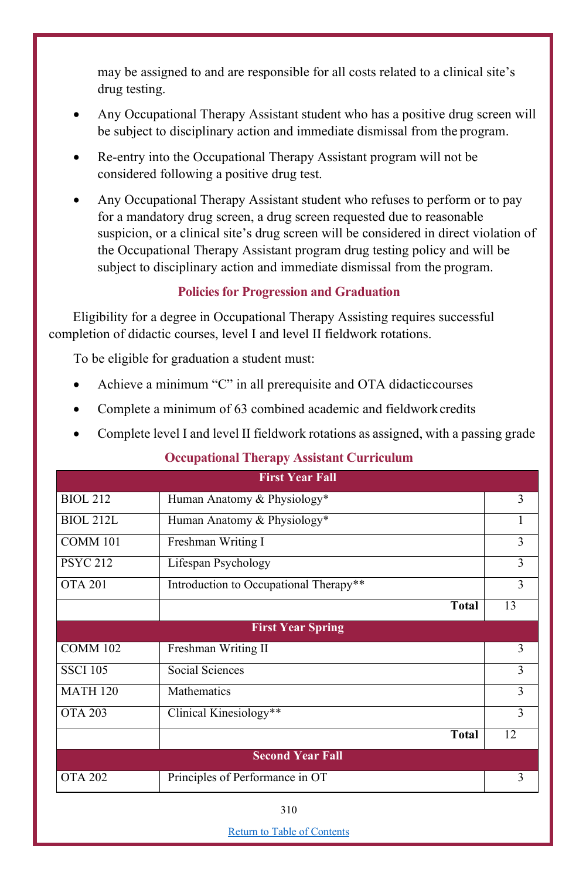may be assigned to and are responsible for all costs related to a clinical site's drug testing.

- Any Occupational Therapy Assistant student who has a positive drug screen will be subject to disciplinary action and immediate dismissal from the program.
- Re-entry into the Occupational Therapy Assistant program will not be considered following a positive drug test.
- Any Occupational Therapy Assistant student who refuses to perform or to pay for a mandatory drug screen, a drug screen requested due to reasonable suspicion, or a clinical site's drug screen will be considered in direct violation of the Occupational Therapy Assistant program drug testing policy and will be subject to disciplinary action and immediate dismissal from the program.

## **Policies for Progression and Graduation**

Eligibility for a degree in Occupational Therapy Assisting requires successful completion of didactic courses, level I and level II fieldwork rotations.

To be eligible for graduation a student must:

- Achieve a minimum "C" in all prerequisite and OTA didacticcourses
- Complete a minimum of 63 combined academic and fieldworkcredits
- Complete level I and level II fieldwork rotations as assigned, with a passing grade

## **Occupational Therapy Assistant Curriculum**

| <b>First Year Fall</b>  |                                        |    |
|-------------------------|----------------------------------------|----|
|                         |                                        |    |
| <b>BIOL 212</b>         | Human Anatomy & Physiology*            | 3  |
| <b>BIOL 212L</b>        | Human Anatomy & Physiology*            | 1  |
| COMM 101                | Freshman Writing I                     | 3  |
| <b>PSYC 212</b>         | Lifespan Psychology                    | 3  |
| <b>OTA 201</b>          | Introduction to Occupational Therapy** | 3  |
|                         | <b>Total</b>                           | 13 |
|                         | <b>First Year Spring</b>               |    |
| COMM 102                | Freshman Writing II                    | 3  |
| <b>SSCI 105</b>         | Social Sciences                        | 3  |
| <b>MATH 120</b>         | Mathematics                            | 3  |
| <b>OTA 203</b>          | Clinical Kinesiology**                 | 3  |
|                         | <b>Total</b>                           | 12 |
| <b>Second Year Fall</b> |                                        |    |
| <b>OTA 202</b>          | Principles of Performance in OT        | 3  |

Return to Table of Contents